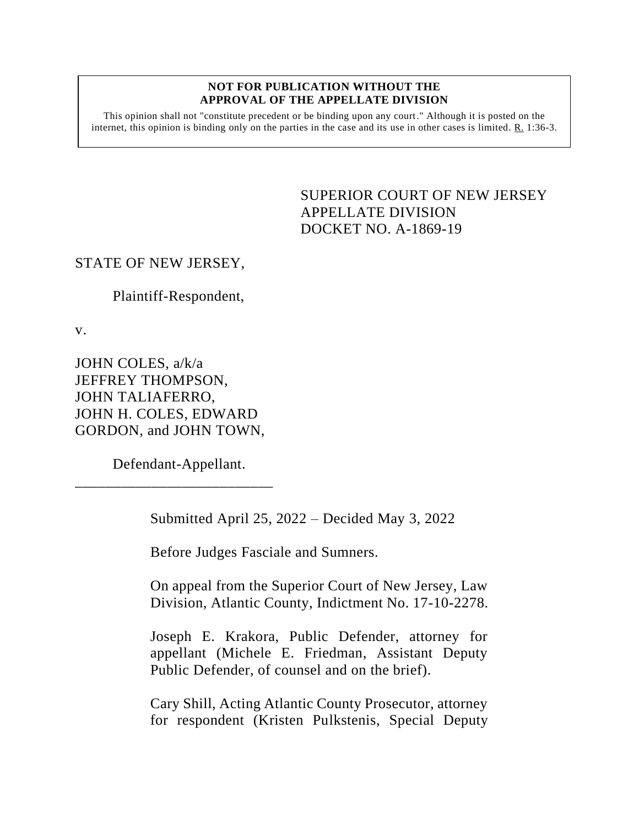#### **NOT FOR PUBLICATION WITHOUT THE APPROVAL OF THE APPELLATE DIVISION**

This opinion shall not "constitute precedent or be binding upon any court." Although it is posted on the internet, this opinion is binding only on the parties in the case and its use in other cases is limited.  $R_1$  1:36-3.

> <span id="page-0-0"></span>SUPERIOR COURT OF NEW JERSEY APPELLATE DIVISION DOCKET NO. A-1869-19

# STATE OF NEW JERSEY,

Plaintiff-Respondent,

v.

JOHN COLES, a/k/a JEFFREY THOMPSON, JOHN TALIAFERRO, JOHN H. COLES, EDWARD GORDON, and JOHN TOWN,

Defendant-Appellant.

\_\_\_\_\_\_\_\_\_\_\_\_\_\_\_\_\_\_\_\_\_\_\_\_\_\_

Submitted April 25, 2022 – Decided May 3, 2022

Before Judges Fasciale and Sumners.

On appeal from the Superior Court of New Jersey, Law Division, Atlantic County, Indictment No. 17-10-2278.

Joseph E. Krakora, Public Defender, attorney for appellant (Michele E. Friedman, Assistant Deputy Public Defender, of counsel and on the brief).

Cary Shill, Acting Atlantic County Prosecutor, attorney for respondent (Kristen Pulkstenis, Special Deputy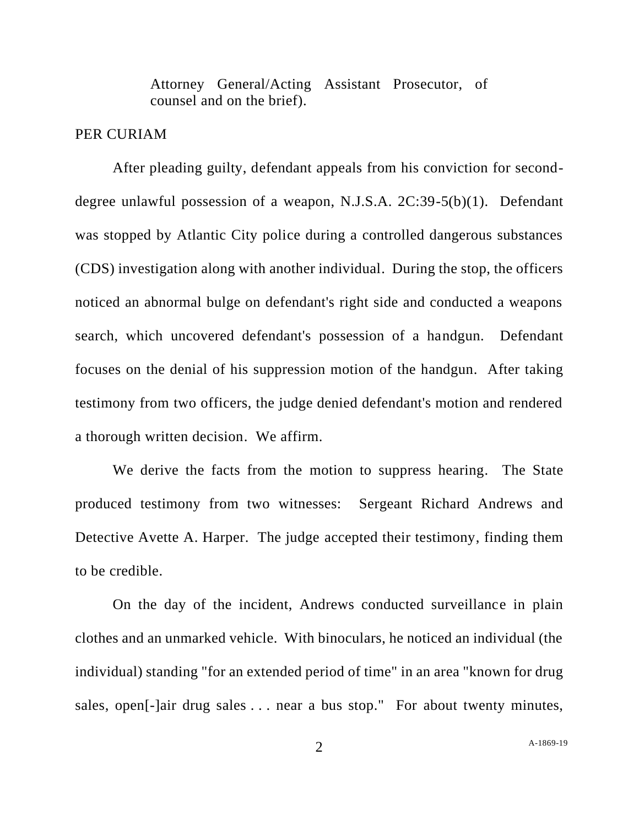Attorney General/Acting Assistant Prosecutor, of counsel and on the brief).

### PER CURIAM

After pleading guilty, defendant appeals from his conviction for seconddegree unlawful possession of a weapon, N.J.S.A. 2C:39-5(b)(1). Defendant was stopped by Atlantic City police during a controlled dangerous substances (CDS) investigation along with another individual. During the stop, the officers noticed an abnormal bulge on defendant's right side and conducted a weapons search, which uncovered defendant's possession of a handgun. Defendant focuses on the denial of his suppression motion of the handgun. After taking testimony from two officers, the judge denied defendant's motion and rendered a thorough written decision. We affirm.

We derive the facts from the motion to suppress hearing. The State produced testimony from two witnesses: Sergeant Richard Andrews and Detective Avette A. Harper. The judge accepted their testimony, finding them to be credible.

On the day of the incident, Andrews conducted surveillance in plain clothes and an unmarked vehicle. With binoculars, he noticed an individual (the individual) standing "for an extended period of time" in an area "known for drug sales, open[-]air drug sales . . . near a bus stop." For about twenty minutes,

2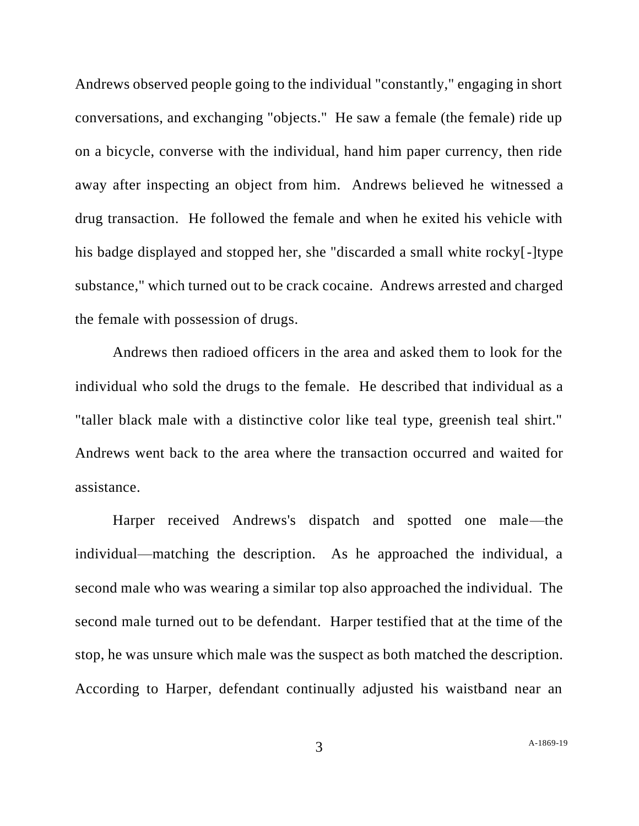Andrews observed people going to the individual "constantly," engaging in short conversations, and exchanging "objects." He saw a female (the female) ride up on a bicycle, converse with the individual, hand him paper currency, then ride away after inspecting an object from him. Andrews believed he witnessed a drug transaction. He followed the female and when he exited his vehicle with his badge displayed and stopped her, she "discarded a small white rocky[-]type substance," which turned out to be crack cocaine. Andrews arrested and charged the female with possession of drugs.

Andrews then radioed officers in the area and asked them to look for the individual who sold the drugs to the female. He described that individual as a "taller black male with a distinctive color like teal type, greenish teal shirt." Andrews went back to the area where the transaction occurred and waited for assistance.

Harper received Andrews's dispatch and spotted one male—the individual—matching the description. As he approached the individual, a second male who was wearing a similar top also approached the individual. The second male turned out to be defendant. Harper testified that at the time of the stop, he was unsure which male was the suspect as both matched the description. According to Harper, defendant continually adjusted his waistband near an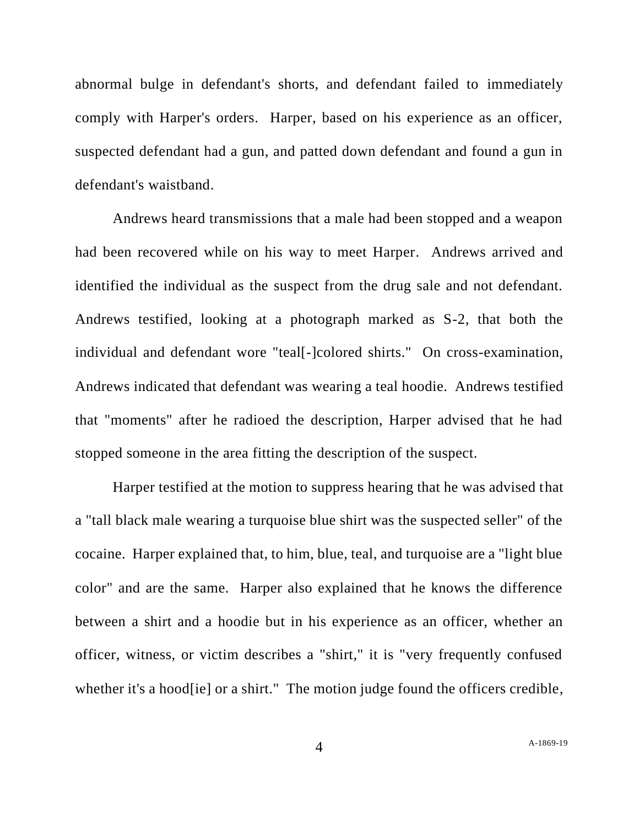abnormal bulge in defendant's shorts, and defendant failed to immediately comply with Harper's orders. Harper, based on his experience as an officer, suspected defendant had a gun, and patted down defendant and found a gun in defendant's waistband.

Andrews heard transmissions that a male had been stopped and a weapon had been recovered while on his way to meet Harper. Andrews arrived and identified the individual as the suspect from the drug sale and not defendant. Andrews testified, looking at a photograph marked as S-2, that both the individual and defendant wore "teal[-]colored shirts." On cross-examination, Andrews indicated that defendant was wearing a teal hoodie. Andrews testified that "moments" after he radioed the description, Harper advised that he had stopped someone in the area fitting the description of the suspect.

Harper testified at the motion to suppress hearing that he was advised that a "tall black male wearing a turquoise blue shirt was the suspected seller" of the cocaine. Harper explained that, to him, blue, teal, and turquoise are a "light blue color" and are the same. Harper also explained that he knows the difference between a shirt and a hoodie but in his experience as an officer, whether an officer, witness, or victim describes a "shirt," it is "very frequently confused whether it's a hood [ie] or a shirt." The motion judge found the officers credible,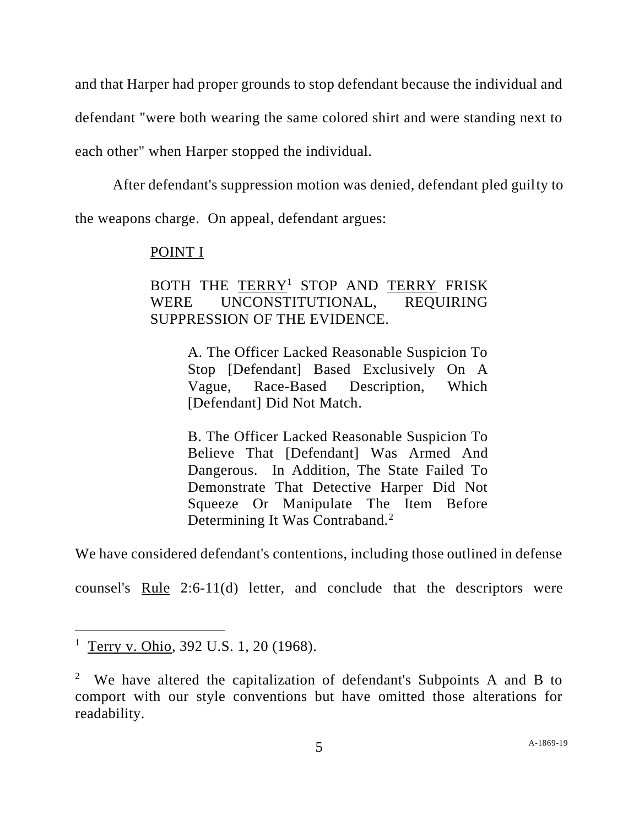and that Harper had proper grounds to stop defendant because the individual and defendant "were both wearing the same colored shirt and were standing next to each other" when Harper stopped the individual.

After defendant's suppression motion was denied, defendant pled guilty to the weapons charge. On appeal, defendant argues:

## POINT I

# BOTH THE TERRY<sup>1</sup> STOP AND TERRY FRISK WERE UNCONSTITUTIONAL, REQUIRING SUPPRESSION OF THE EVIDENCE.

A. The Officer Lacked Reasonable Suspicion To Stop [Defendant] Based Exclusively On A Vague, Race-Based Description, Which [Defendant] Did Not Match.

B. The Officer Lacked Reasonable Suspicion To Believe That [Defendant] Was Armed And Dangerous. In Addition, The State Failed To Demonstrate That Detective Harper Did Not Squeeze Or Manipulate The Item Before Determining It Was Contraband.<sup>2</sup>

We have considered defendant's contentions, including those outlined in defense

counsel's Rule 2:6-11(d) letter, and conclude that the descriptors were

<sup>&</sup>lt;sup>1</sup> Terry v. Ohio, 392 U.S. 1, 20 (1968).

<sup>&</sup>lt;sup>2</sup> We have altered the capitalization of defendant's Subpoints A and B to comport with our style conventions but have omitted those alterations for readability.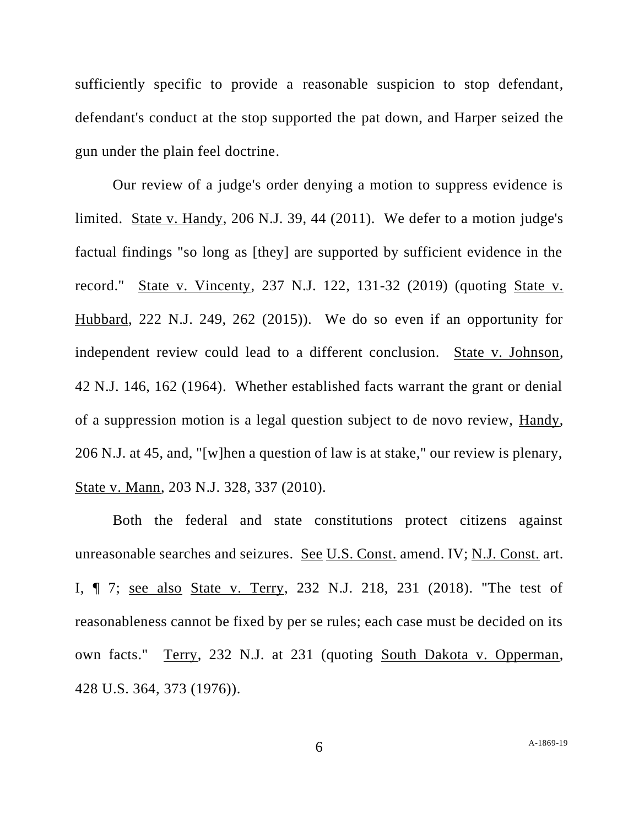sufficiently specific to provide a reasonable suspicion to stop defendant, defendant's conduct at the stop supported the pat down, and Harper seized the gun under the plain feel doctrine.

Our review of a judge's order denying a motion to suppress evidence is limited. State v. Handy, 206 N.J. 39, 44 (2011). We defer to a motion judge's factual findings "so long as [they] are supported by sufficient evidence in the record." State v. Vincenty, 237 N.J. 122, 131-32 (2019) (quoting State v. Hubbard, 222 N.J. 249, 262 (2015)). We do so even if an opportunity for independent review could lead to a different conclusion. State v. Johnson, 42 N.J. 146, 162 (1964). Whether established facts warrant the grant or denial of a suppression motion is a legal question subject to de novo review, Handy, 206 N.J. at 45, and, "[w]hen a question of law is at stake," our review is plenary, State v. Mann, 203 N.J. 328, 337 (2010).

Both the federal and state constitutions protect citizens against unreasonable searches and seizures. See U.S. Const. amend. IV; N.J. Const. art. I, ¶ 7; see also State v. Terry, 232 N.J. 218, 231 (2018). "The test of reasonableness cannot be fixed by per se rules; each case must be decided on its own facts." Terry, 232 N.J. at 231 (quoting South Dakota v. Opperman, 428 U.S. 364, 373 (1976)).

6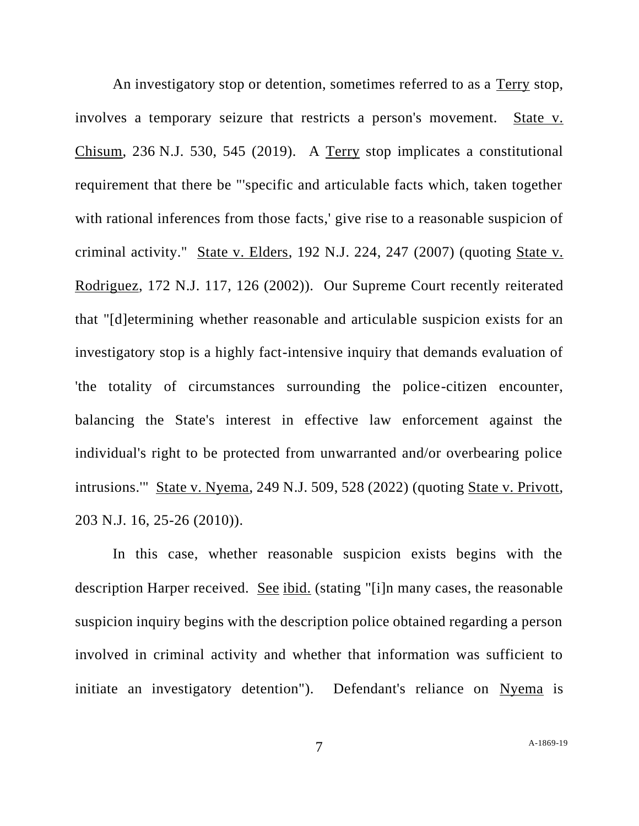An investigatory stop or detention, sometimes referred to as a Terry stop, involves a temporary seizure that restricts a person's movement. State v. Chisum, 236 N.J. 530, 545 (2019). A Terry stop implicates a constitutional requirement that there be "'specific and articulable facts which, taken together with rational inferences from those facts,' give rise to a reasonable suspicion of criminal activity." State v. Elders, 192 N.J. 224, 247 (2007) (quoting State v. Rodriguez, 172 N.J. 117, 126 (2002)). Our Supreme Court recently reiterated that "[d]etermining whether reasonable and articulable suspicion exists for an investigatory stop is a highly fact-intensive inquiry that demands evaluation of 'the totality of circumstances surrounding the police-citizen encounter, balancing the State's interest in effective law enforcement against the individual's right to be protected from unwarranted and/or overbearing police intrusions.'" State v. Nyema, 249 N.J. 509, 528 (2022) (quoting State v. Privott, 203 N.J. 16, 25-26 (2010)).

In this case, whether reasonable suspicion exists begins with the description Harper received. See ibid. (stating "[i]n many cases, the reasonable suspicion inquiry begins with the description police obtained regarding a person involved in criminal activity and whether that information was sufficient to initiate an investigatory detention"). Defendant's reliance on Nyema is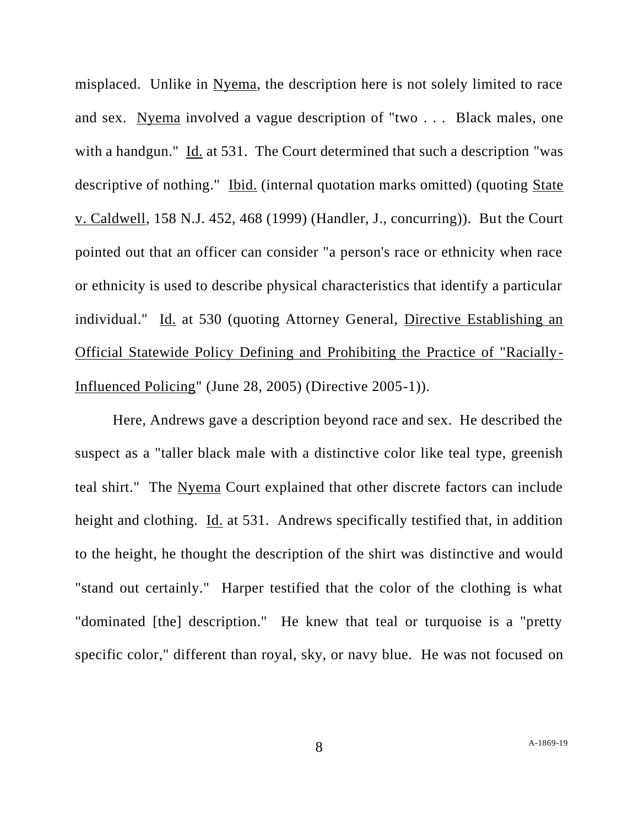misplaced. Unlike in Nyema, the description here is not solely limited to race and sex. Nyema involved a vague description of "two . . . Black males, one with a handgun." Id. at 531. The Court determined that such a description "was descriptive of nothing." Ibid. (internal quotation marks omitted) (quoting State v. Caldwell, 158 N.J. 452, 468 (1999) (Handler, J., concurring)). But the Court pointed out that an officer can consider "a person's race or ethnicity when race or ethnicity is used to describe physical characteristics that identify a particular individual." Id. at 530 (quoting Attorney General, Directive Establishing an Official Statewide Policy Defining and Prohibiting the Practice of "Racially-Influenced Policing" (June 28, 2005) (Directive 2005-1)).

Here, Andrews gave a description beyond race and sex. He described the suspect as a "taller black male with a distinctive color like teal type, greenish teal shirt." The Nyema Court explained that other discrete factors can include height and clothing. Id. at 531. Andrews specifically testified that, in addition to the height, he thought the description of the shirt was distinctive and would "stand out certainly." Harper testified that the color of the clothing is what "dominated [the] description." He knew that teal or turquoise is a "pretty specific color," different than royal, sky, or navy blue. He was not focused on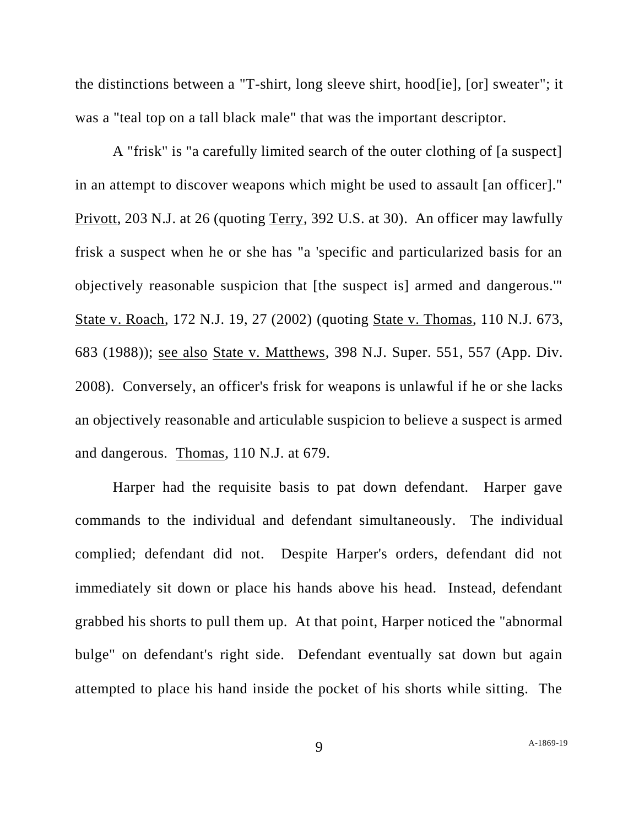the distinctions between a "T-shirt, long sleeve shirt, hood[ie], [or] sweater"; it was a "teal top on a tall black male" that was the important descriptor.

A "frisk" is "a carefully limited search of the outer clothing of [a suspect] in an attempt to discover weapons which might be used to assault [an officer]." Privott, 203 N.J. at 26 (quoting Terry, 392 U.S. at 30). An officer may lawfully frisk a suspect when he or she has "a 'specific and particularized basis for an objectively reasonable suspicion that [the suspect is] armed and dangerous.'" State v. Roach, 172 N.J. 19, 27 (2002) (quoting State v. Thomas, 110 N.J. 673, 683 (1988)); see also State v. Matthews, 398 N.J. Super. 551, 557 (App. Div. 2008). Conversely, an officer's frisk for weapons is unlawful if he or she lacks an objectively reasonable and articulable suspicion to believe a suspect is armed and dangerous. Thomas, 110 N.J. at 679.

Harper had the requisite basis to pat down defendant. Harper gave commands to the individual and defendant simultaneously. The individual complied; defendant did not. Despite Harper's orders, defendant did not immediately sit down or place his hands above his head. Instead, defendant grabbed his shorts to pull them up. At that point, Harper noticed the "abnormal bulge" on defendant's right side. Defendant eventually sat down but again attempted to place his hand inside the pocket of his shorts while sitting. The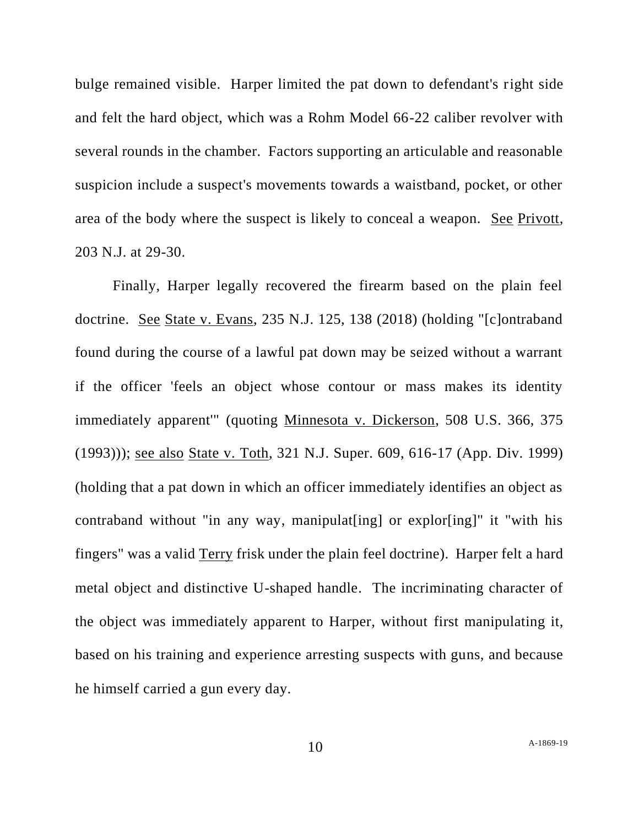bulge remained visible. Harper limited the pat down to defendant's right side and felt the hard object, which was a Rohm Model 66-22 caliber revolver with several rounds in the chamber. Factors supporting an articulable and reasonable suspicion include a suspect's movements towards a waistband, pocket, or other area of the body where the suspect is likely to conceal a weapon. See Privott, 203 N.J. at 29-30.

Finally, Harper legally recovered the firearm based on the plain feel doctrine. See State v. Evans, 235 N.J. 125, 138 (2018) (holding "[c]ontraband found during the course of a lawful pat down may be seized without a warrant if the officer 'feels an object whose contour or mass makes its identity immediately apparent'" (quoting Minnesota v. Dickerson, 508 U.S. 366, 375 (1993))); see also State v. Toth, 321 N.J. Super. 609, 616-17 (App. Div. 1999) (holding that a pat down in which an officer immediately identifies an object as contraband without "in any way, manipulat[ing] or explor[ing]" it "with his fingers" was a valid Terry frisk under the plain feel doctrine). Harper felt a hard metal object and distinctive U-shaped handle. The incriminating character of the object was immediately apparent to Harper, without first manipulating it, based on his training and experience arresting suspects with guns, and because he himself carried a gun every day.